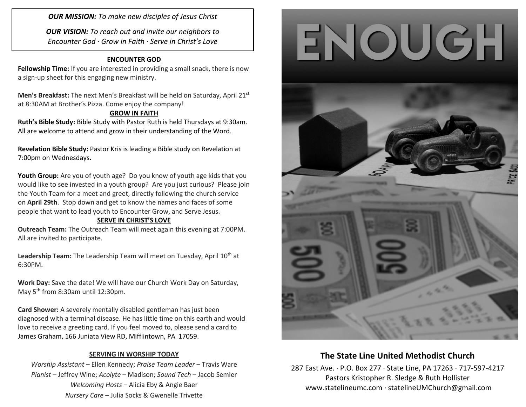*OUR MISSION: To make new disciples of Jesus Christ*

*OUR VISION: To reach out and invite our neighbors to Encounter God · Grow in Faith · Serve in Christ's Love*

### **ENCOUNTER GOD**

**Fellowship Time:** If you are interested in providing a small snack, there is now a sign-up sheet for this engaging new ministry.

**Men's Breakfast:** The next Men's Breakfast will be held on Saturday, April 21<sup>st</sup> at 8:30AM at Brother's Pizza. Come enjoy the company!

### **GROW IN FAITH**

**Ruth's Bible Study:** Bible Study with Pastor Ruth is held Thursdays at 9:30am. All are welcome to attend and grow in their understanding of the Word.

**Revelation Bible Study:** Pastor Kris is leading a Bible study on Revelation at 7:00pm on Wednesdays.

**Youth Group:** Are you of youth age? Do you know of youth age kids that you would like to see invested in a youth group? Are you just curious? Please join the Youth Team for a meet and greet, directly following the church service on **April 29th**. Stop down and get to know the names and faces of some people that want to lead youth to Encounter Grow, and Serve Jesus.

### **SERVE IN CHRIST'S LOVE**

**Outreach Team:** The Outreach Team will meet again this evening at 7:00PM. All are invited to participate.

**Leadership Team:** The Leadership Team will meet on Tuesday, April 10<sup>th</sup> at 6:30PM.

**Work Day:** Save the date! We will have our Church Work Day on Saturday, May 5<sup>th</sup> from 8:30am until 12:30pm.

**Card Shower:** A severely mentally disabled gentleman has just been diagnosed with a terminal disease. He has little time on this earth and would love to receive a greeting card. If you feel moved to, please send a card to James Graham, [166 Juniata View RD, Mifflintown, PA](https://maps.google.com/?q=166+Juniata+View+RD+Mifflintown,+PA+17059&entry=gmail&source=g)[17059.](https://maps.google.com/?q=166+Juniata+View+RD+Mifflintown,+PA+17059&entry=gmail&source=g)

### **SERVING IN WORSHIP TODAY**

*Worship Assistant* – Ellen Kennedy; *Praise Team Leader* – Travis Ware *Pianist* – Jeffrey Wine; *Acolyte* – Madison; *Sound Tech* – Jacob Semler *Welcoming Hosts* – Alicia Eby & Angie Baer *Nursery Care* – Julia Socks & Gwenelle Trivette





## **The State Line United Methodist Church**

287 East Ave. · P.O. Box 277 · State Line, PA 17263 · 717-597-4217 Pastors Kristopher R. Sledge & Ruth Hollister [www.statelineumc.com](http://www.statelineumc.com/) · statelineUMChurch@gmail.com